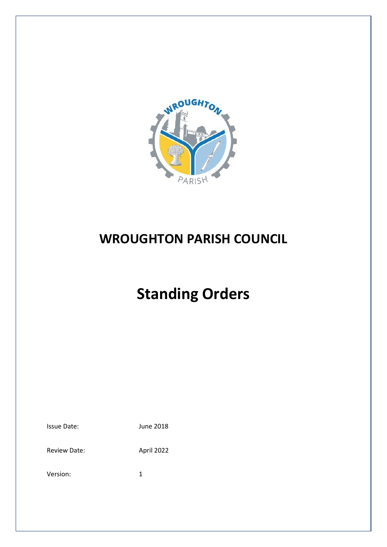

# **WROUGHTON PARISH COUNCIL**

# **Standing Orders**

| <b>Issue Date:</b> | June 2018 |
|--------------------|-----------|
|                    |           |

Review Date: April 2022

Version: 1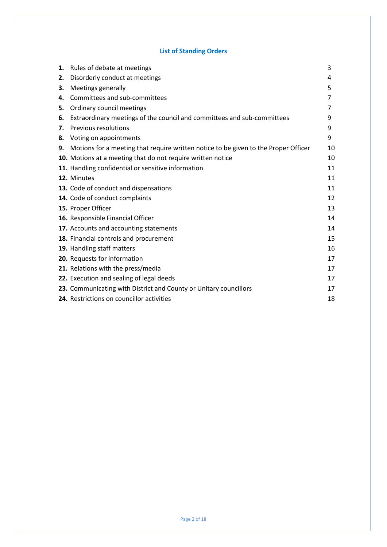# **List of Standing Orders**

| 1. | Rules of debate at meetings                                                         | 3  |
|----|-------------------------------------------------------------------------------------|----|
| 2. | Disorderly conduct at meetings                                                      | 4  |
| З. | Meetings generally                                                                  | 5  |
| 4. | Committees and sub-committees                                                       | 7  |
| 5. | Ordinary council meetings                                                           | 7  |
| 6. | Extraordinary meetings of the council and committees and sub-committees             | 9  |
| 7. | Previous resolutions                                                                | 9  |
| 8. | Voting on appointments                                                              | 9  |
| 9. | Motions for a meeting that require written notice to be given to the Proper Officer | 10 |
|    | 10. Motions at a meeting that do not require written notice                         | 10 |
|    | 11. Handling confidential or sensitive information                                  | 11 |
|    | 12. Minutes                                                                         | 11 |
|    | 13. Code of conduct and dispensations                                               | 11 |
|    | 14. Code of conduct complaints                                                      | 12 |
|    | 15. Proper Officer                                                                  | 13 |
|    | 16. Responsible Financial Officer                                                   | 14 |
|    | 17. Accounts and accounting statements                                              | 14 |
|    | 18. Financial controls and procurement                                              | 15 |
|    | 19. Handling staff matters                                                          | 16 |
|    | 20. Requests for information                                                        | 17 |
|    | 21. Relations with the press/media                                                  | 17 |
|    | 22. Execution and sealing of legal deeds                                            | 17 |
|    | 23. Communicating with District and County or Unitary councillors                   | 17 |
|    | 24. Restrictions on councillor activities                                           | 18 |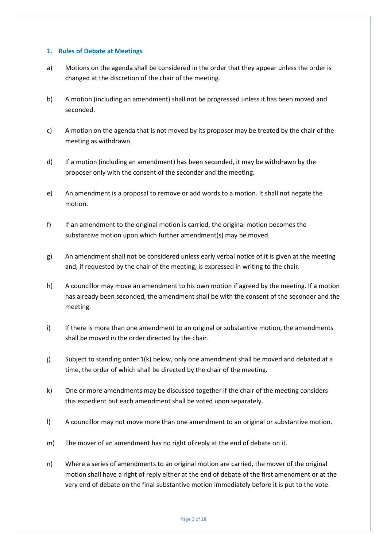#### **1. Rules of Debate at Meetings**

- a) Motions on the agenda shall be considered in the order that they appear unless the order is changed at the discretion of the chair of the meeting.
- b) A motion (including an amendment) shall not be progressed unless it has been moved and seconded.
- c) A motion on the agenda that is not moved by its proposer may be treated by the chair of the meeting as withdrawn.
- d) If a motion (including an amendment) has been seconded, it may be withdrawn by the proposer only with the consent of the seconder and the meeting.
- e) An amendment is a proposal to remove or add words to a motion. It shall not negate the motion.
- f) If an amendment to the original motion is carried, the original motion becomes the substantive motion upon which further amendment(s) may be moved.
- g) An amendment shall not be considered unless early verbal notice of it is given at the meeting and, if requested by the chair of the meeting, is expressed in writing to the chair.
- h) A councillor may move an amendment to his own motion if agreed by the meeting. If a motion has already been seconded, the amendment shall be with the consent of the seconder and the meeting.
- i) If there is more than one amendment to an original or substantive motion, the amendments shall be moved in the order directed by the chair.
- j) Subject to standing order 1(k) below, only one amendment shall be moved and debated at a time, the order of which shall be directed by the chair of the meeting.
- k) One or more amendments may be discussed together if the chair of the meeting considers this expedient but each amendment shall be voted upon separately.
- l) A councillor may not move more than one amendment to an original or substantive motion.
- m) The mover of an amendment has no right of reply at the end of debate on it.
- n) Where a series of amendments to an original motion are carried, the mover of the original motion shall have a right of reply either at the end of debate of the first amendment or at the very end of debate on the final substantive motion immediately before it is put to the vote.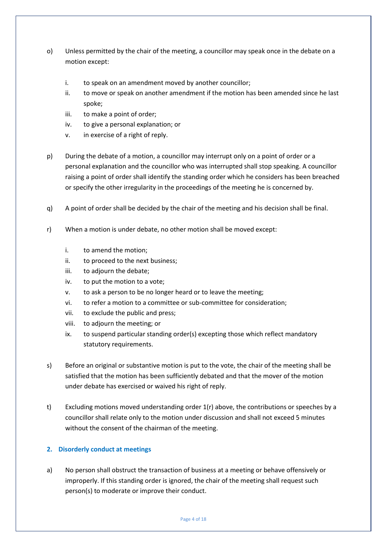- o) Unless permitted by the chair of the meeting, a councillor may speak once in the debate on a motion except:
	- i. to speak on an amendment moved by another councillor;
	- ii. to move or speak on another amendment if the motion has been amended since he last spoke;
	- iii. to make a point of order;
	- iv. to give a personal explanation; or
	- v. in exercise of a right of reply.
- p) During the debate of a motion, a councillor may interrupt only on a point of order or a personal explanation and the councillor who was interrupted shall stop speaking. A councillor raising a point of order shall identify the standing order which he considers has been breached or specify the other irregularity in the proceedings of the meeting he is concerned by.
- q) A point of order shall be decided by the chair of the meeting and his decision shall be final.
- r) When a motion is under debate, no other motion shall be moved except:
	- i. to amend the motion;
	- ii. to proceed to the next business;
	- iii. to adjourn the debate;
	- iv. to put the motion to a vote;
	- v. to ask a person to be no longer heard or to leave the meeting;
	- vi. to refer a motion to a committee or sub-committee for consideration;
	- vii. to exclude the public and press;
	- viii. to adjourn the meeting; or
	- ix. to suspend particular standing order(s) excepting those which reflect mandatory statutory requirements.
- s) Before an original or substantive motion is put to the vote, the chair of the meeting shall be satisfied that the motion has been sufficiently debated and that the mover of the motion under debate has exercised or waived his right of reply.
- t) Excluding motions moved understanding order 1(r) above, the contributions or speeches by a councillor shall relate only to the motion under discussion and shall not exceed 5 minutes without the consent of the chairman of the meeting.

# **2. Disorderly conduct at meetings**

a) No person shall obstruct the transaction of business at a meeting or behave offensively or improperly. If this standing order is ignored, the chair of the meeting shall request such person(s) to moderate or improve their conduct.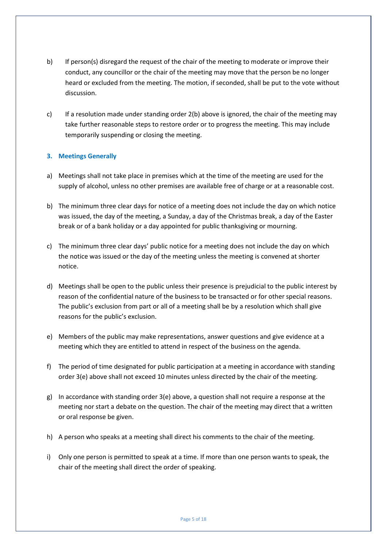- b) If person(s) disregard the request of the chair of the meeting to moderate or improve their conduct, any councillor or the chair of the meeting may move that the person be no longer heard or excluded from the meeting. The motion, if seconded, shall be put to the vote without discussion.
- c) If a resolution made under standing order  $2(b)$  above is ignored, the chair of the meeting may take further reasonable steps to restore order or to progress the meeting. This may include temporarily suspending or closing the meeting.

# **3. Meetings Generally**

- a) Meetings shall not take place in premises which at the time of the meeting are used for the supply of alcohol, unless no other premises are available free of charge or at a reasonable cost.
- b) The minimum three clear days for notice of a meeting does not include the day on which notice was issued, the day of the meeting, a Sunday, a day of the Christmas break, a day of the Easter break or of a bank holiday or a day appointed for public thanksgiving or mourning.
- c) The minimum three clear days' public notice for a meeting does not include the day on which the notice was issued or the day of the meeting unless the meeting is convened at shorter notice.
- d) Meetings shall be open to the public unless their presence is prejudicial to the public interest by reason of the confidential nature of the business to be transacted or for other special reasons. The public's exclusion from part or all of a meeting shall be by a resolution which shall give reasons for the public's exclusion.
- e) Members of the public may make representations, answer questions and give evidence at a meeting which they are entitled to attend in respect of the business on the agenda.
- f) The period of time designated for public participation at a meeting in accordance with standing order 3(e) above shall not exceed 10 minutes unless directed by the chair of the meeting.
- g) In accordance with standing order 3(e) above, a question shall not require a response at the meeting nor start a debate on the question. The chair of the meeting may direct that a written or oral response be given.
- h) A person who speaks at a meeting shall direct his comments to the chair of the meeting.
- i) Only one person is permitted to speak at a time. If more than one person wants to speak, the chair of the meeting shall direct the order of speaking.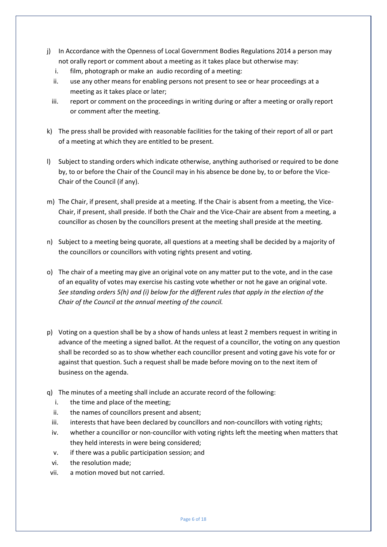- j) In Accordance with the Openness of Local Government Bodies Regulations 2014 a person may not orally report or comment about a meeting as it takes place but otherwise may:
	- i. film, photograph or make an audio recording of a meeting:
	- ii. use any other means for enabling persons not present to see or hear proceedings at a meeting as it takes place or later;
	- iii. report or comment on the proceedings in writing during or after a meeting or orally report or comment after the meeting.
- k) The press shall be provided with reasonable facilities for the taking of their report of all or part of a meeting at which they are entitled to be present.
- l) Subject to standing orders which indicate otherwise, anything authorised or required to be done by, to or before the Chair of the Council may in his absence be done by, to or before the Vice-Chair of the Council (if any).
- m) The Chair, if present, shall preside at a meeting. If the Chair is absent from a meeting, the Vice-Chair, if present, shall preside. If both the Chair and the Vice-Chair are absent from a meeting, a councillor as chosen by the councillors present at the meeting shall preside at the meeting.
- n) Subject to a meeting being quorate, all questions at a meeting shall be decided by a majority of the councillors or councillors with voting rights present and voting.
- o) The chair of a meeting may give an original vote on any matter put to the vote, and in the case of an equality of votes may exercise his casting vote whether or not he gave an original vote. *See standing orders 5(h) and (i) below for the different rules that apply in the election of the Chair of the Council at the annual meeting of the council.*
- p) Voting on a question shall be by a show of hands unless at least 2 members request in writing in advance of the meeting a signed ballot. At the request of a councillor, the voting on any question shall be recorded so as to show whether each councillor present and voting gave his vote for or against that question. Such a request shall be made before moving on to the next item of business on the agenda.
- q) The minutes of a meeting shall include an accurate record of the following:
	- i. the time and place of the meeting;
	- ii. the names of councillors present and absent;
	- iii. interests that have been declared by councillors and non-councillors with voting rights;
	- iv. whether a councillor or non-councillor with voting rights left the meeting when matters that they held interests in were being considered;
	- v. if there was a public participation session; and
	- vi. the resolution made;
- vii. a motion moved but not carried.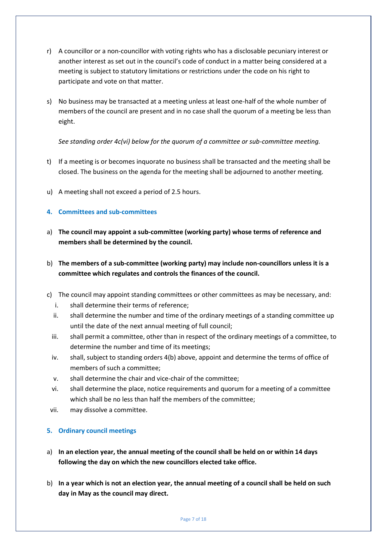- r) A councillor or a non-councillor with voting rights who has a disclosable pecuniary interest or another interest as set out in the council's code of conduct in a matter being considered at a meeting is subject to statutory limitations or restrictions under the code on his right to participate and vote on that matter.
- s) No business may be transacted at a meeting unless at least one-half of the whole number of members of the council are present and in no case shall the quorum of a meeting be less than eight.

*See standing order 4c(vi) below for the quorum of a committee or sub-committee meeting.* 

- t) If a meeting is or becomes inquorate no business shall be transacted and the meeting shall be closed. The business on the agenda for the meeting shall be adjourned to another meeting.
- u) A meeting shall not exceed a period of 2.5 hours.

# **4. Committees and sub-committees**

- a) **The council may appoint a sub-committee (working party) whose terms of reference and members shall be determined by the council.**
- b) **The members of a sub-committee (working party) may include non-councillors unless it is a committee which regulates and controls the finances of the council.**
- c) The council may appoint standing committees or other committees as may be necessary, and:
	- i. shall determine their terms of reference;
	- ii. shall determine the number and time of the ordinary meetings of a standing committee up until the date of the next annual meeting of full council;
	- iii. shall permit a committee, other than in respect of the ordinary meetings of a committee, to determine the number and time of its meetings;
	- iv. shall, subject to standing orders 4(b) above, appoint and determine the terms of office of members of such a committee;
	- v. shall determine the chair and vice-chair of the committee;
	- vi. shall determine the place, notice requirements and quorum for a meeting of a committee which shall be no less than half the members of the committee;
- vii. may dissolve a committee.

# **5. Ordinary council meetings**

- a) **In an election year, the annual meeting of the council shall be held on or within 14 days following the day on which the new councillors elected take office.**
- b) **In a year which is not an election year, the annual meeting of a council shall be held on such day in May as the council may direct.**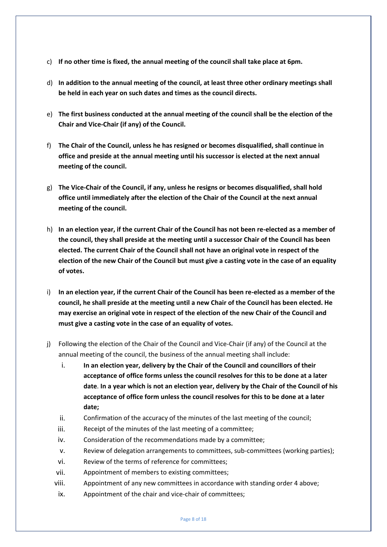- c) **If no other time is fixed, the annual meeting of the council shall take place at 6pm.**
- d) **In addition to the annual meeting of the council, at least three other ordinary meetings shall be held in each year on such dates and times as the council directs.**
- e) **The first business conducted at the annual meeting of the council shall be the election of the Chair and Vice-Chair (if any) of the Council.**
- f) **The Chair of the Council, unless he has resigned or becomes disqualified, shall continue in office and preside at the annual meeting until his successor is elected at the next annual meeting of the council.**
- g) **The Vice-Chair of the Council, if any, unless he resigns or becomes disqualified, shall hold office until immediately after the election of the Chair of the Council at the next annual meeting of the council.**
- h) **In an election year, if the current Chair of the Council has not been re-elected as a member of the council, they shall preside at the meeting until a successor Chair of the Council has been elected. The current Chair of the Council shall not have an original vote in respect of the election of the new Chair of the Council but must give a casting vote in the case of an equality of votes.**
- i) **In an election year, if the current Chair of the Council has been re-elected as a member of the council, he shall preside at the meeting until a new Chair of the Council has been elected. He may exercise an original vote in respect of the election of the new Chair of the Council and must give a casting vote in the case of an equality of votes.**
- j) Following the election of the Chair of the Council and Vice-Chair (if any) of the Council at the annual meeting of the council, the business of the annual meeting shall include:
	- i. **In an election year, delivery by the Chair of the Council and councillors of their acceptance of office forms unless the council resolves for this to be done at a later date**. **In a year which is not an election year, delivery by the Chair of the Council of his acceptance of office form unless the council resolves for this to be done at a later date;**
	- ii. Confirmation of the accuracy of the minutes of the last meeting of the council;
	- iii. Receipt of the minutes of the last meeting of a committee;
	- iv. Consideration of the recommendations made by a committee;
	- v. Review of delegation arrangements to committees, sub-committees (working parties);
	- vi. Review of the terms of reference for committees;
	- vii. Appointment of members to existing committees;
	- viii. Appointment of any new committees in accordance with standing order 4 above;
	- ix. Appointment of the chair and vice-chair of committees;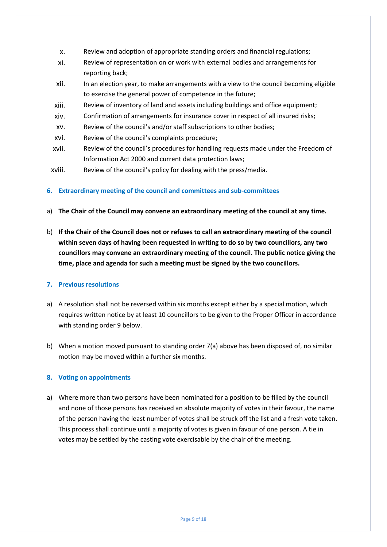- x. Review and adoption of appropriate standing orders and financial regulations;
- xi. Review of representation on or work with external bodies and arrangements for reporting back;
- xii. In an election year, to make arrangements with a view to the council becoming eligible to exercise the general power of competence in the future;
- xiii. Review of inventory of land and assets including buildings and office equipment;
- xiv. Confirmation of arrangements for insurance cover in respect of all insured risks;
- xv. Review of the council's and/or staff subscriptions to other bodies;
- xvi. Review of the council's complaints procedure;
- xvii. Review of the council's procedures for handling requests made under the Freedom of Information Act 2000 and current data protection laws;
- xviii. Review of the council's policy for dealing with the press/media.

# **6. Extraordinary meeting of the council and committees and sub-committees**

- a) **The Chair of the Council may convene an extraordinary meeting of the council at any time.**
- b) **If the Chair of the Council does not or refuses to call an extraordinary meeting of the council within seven days of having been requested in writing to do so by two councillors, any two councillors may convene an extraordinary meeting of the council. The public notice giving the time, place and agenda for such a meeting must be signed by the two councillors.**

#### **7. Previous resolutions**

- a) A resolution shall not be reversed within six months except either by a special motion, which requires written notice by at least 10 councillors to be given to the Proper Officer in accordance with standing order 9 below.
- b) When a motion moved pursuant to standing order 7(a) above has been disposed of, no similar motion may be moved within a further six months.

#### **8. Voting on appointments**

a) Where more than two persons have been nominated for a position to be filled by the council and none of those persons has received an absolute majority of votes in their favour, the name of the person having the least number of votes shall be struck off the list and a fresh vote taken. This process shall continue until a majority of votes is given in favour of one person. A tie in votes may be settled by the casting vote exercisable by the chair of the meeting.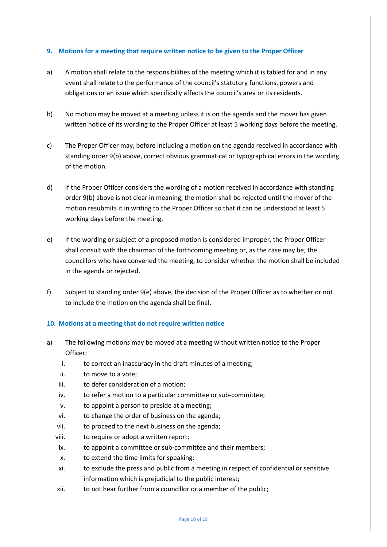# **9. Motions for a meeting that require written notice to be given to the Proper Officer**

- a) A motion shall relate to the responsibilities of the meeting which it is tabled for and in any event shall relate to the performance of the council's statutory functions, powers and obligations or an issue which specifically affects the council's area or its residents.
- b) No motion may be moved at a meeting unless it is on the agenda and the mover has given written notice of its wording to the Proper Officer at least 5 working days before the meeting.
- c) The Proper Officer may, before including a motion on the agenda received in accordance with standing order 9(b) above, correct obvious grammatical or typographical errors in the wording of the motion.
- d) If the Proper Officer considers the wording of a motion received in accordance with standing order 9(b) above is not clear in meaning, the motion shall be rejected until the mover of the motion resubmits it in writing to the Proper Officer so that it can be understood at least 5 working days before the meeting.
- e) If the wording or subject of a proposed motion is considered improper, the Proper Officer shall consult with the chairman of the forthcoming meeting or, as the case may be, the councillors who have convened the meeting, to consider whether the motion shall be included in the agenda or rejected.
- f) Subject to standing order 9(e) above, the decision of the Proper Officer as to whether or not to include the motion on the agenda shall be final.

#### **10. Motions at a meeting that do not require written notice**

- a) The following motions may be moved at a meeting without written notice to the Proper Officer;
	- i. to correct an inaccuracy in the draft minutes of a meeting;
	- ii. to move to a vote;
	- iii. to defer consideration of a motion;
	- iv. to refer a motion to a particular committee or sub-committee;
	- v. to appoint a person to preside at a meeting;
	- vi. to change the order of business on the agenda;
	- vii. to proceed to the next business on the agenda;
	- viii. to require or adopt a written report;
	- ix. to appoint a committee or sub-committee and their members;
	- x. to extend the time limits for speaking;
	- xi. to exclude the press and public from a meeting in respect of confidential or sensitive information which is prejudicial to the public interest;
	- xii. to not hear further from a councillor or a member of the public;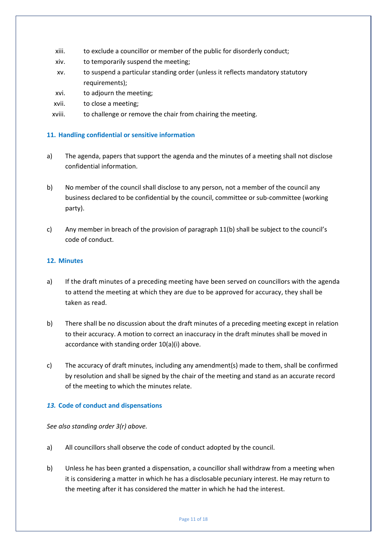- xiii. to exclude a councillor or member of the public for disorderly conduct;
- xiv. to temporarily suspend the meeting;
- xv. to suspend a particular standing order (unless it reflects mandatory statutory requirements);
- xvi. to adjourn the meeting;
- xvii. to close a meeting;
- xviii. to challenge or remove the chair from chairing the meeting.

# **11. Handling confidential or sensitive information**

- a) The agenda, papers that support the agenda and the minutes of a meeting shall not disclose confidential information.
- b) No member of the council shall disclose to any person, not a member of the council any business declared to be confidential by the council, committee or sub-committee (working party).
- c) Any member in breach of the provision of paragraph 11(b) shall be subject to the council's code of conduct.

#### **12. Minutes**

- a) If the draft minutes of a preceding meeting have been served on councillors with the agenda to attend the meeting at which they are due to be approved for accuracy, they shall be taken as read.
- b) There shall be no discussion about the draft minutes of a preceding meeting except in relation to their accuracy. A motion to correct an inaccuracy in the draft minutes shall be moved in accordance with standing order 10(a)(i) above.
- c) The accuracy of draft minutes, including any amendment(s) made to them, shall be confirmed by resolution and shall be signed by the chair of the meeting and stand as an accurate record of the meeting to which the minutes relate.

# *13.* **Code of conduct and dispensations**

*See also standing order 3(r) above.* 

- a) All councillors shall observe the code of conduct adopted by the council.
- b) Unless he has been granted a dispensation, a councillor shall withdraw from a meeting when it is considering a matter in which he has a disclosable pecuniary interest. He may return to the meeting after it has considered the matter in which he had the interest.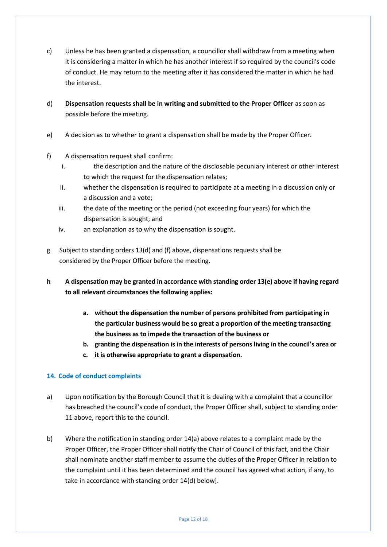- c) Unless he has been granted a dispensation, a councillor shall withdraw from a meeting when it is considering a matter in which he has another interest if so required by the council's code of conduct. He may return to the meeting after it has considered the matter in which he had the interest.
- d) **Dispensation requests shall be in writing and submitted to the Proper Officer** as soon as possible before the meeting.
- e) A decision as to whether to grant a dispensation shall be made by the Proper Officer.
- f) A dispensation request shall confirm:
	- i. the description and the nature of the disclosable pecuniary interest or other interest to which the request for the dispensation relates;
	- ii. whether the dispensation is required to participate at a meeting in a discussion only or a discussion and a vote;
	- iii. the date of the meeting or the period (not exceeding four years) for which the dispensation is sought; and
	- iv. an explanation as to why the dispensation is sought.
- g Subject to standing orders 13(d) and (f) above, dispensations requests shall be considered by the Proper Officer before the meeting.
- **h A dispensation may be granted in accordance with standing order 13(e) above if having regard to all relevant circumstances the following applies:**
	- **a. without the dispensation the number of persons prohibited from participating in the particular business would be so great a proportion of the meeting transacting the business as to impede the transaction of the business or**
	- **b. granting the dispensation is in the interests of persons living in the council's area or**
	- **c. it is otherwise appropriate to grant a dispensation.**

# **14. Code of conduct complaints**

- a) Upon notification by the Borough Council that it is dealing with a complaint that a councillor has breached the council's code of conduct, the Proper Officer shall, subject to standing order 11 above, report this to the council.
- b) Where the notification in standing order 14(a) above relates to a complaint made by the Proper Officer, the Proper Officer shall notify the Chair of Council of this fact, and the Chair shall nominate another staff member to assume the duties of the Proper Officer in relation to the complaint until it has been determined and the council has agreed what action, if any, to take in accordance with standing order 14(d) below].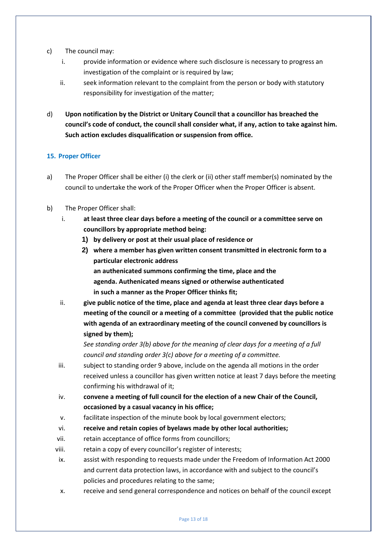- c) The council may:
	- i. provide information or evidence where such disclosure is necessary to progress an investigation of the complaint or is required by law;
	- ii. seek information relevant to the complaint from the person or body with statutory responsibility for investigation of the matter;
- d) **Upon notification by the District or Unitary Council that a councillor has breached the council's code of conduct, the council shall consider what, if any, action to take against him. Such action excludes disqualification or suspension from office.**

# **15. Proper Officer**

- a) The Proper Officer shall be either (i) the clerk or (ii) other staff member(s) nominated by the council to undertake the work of the Proper Officer when the Proper Officer is absent.
- b) The Proper Officer shall:
	- i. **at least three clear days before a meeting of the council or a committee serve on councillors by appropriate method being:**
		- **1) by delivery or post at their usual place of residence or**
		- **2) where a member has given written consent transmitted in electronic form to a particular electronic address an authenicated summons confirming the time, place and the agenda. Authenicated means signed or otherwise authenticated in such a manner as the Proper Officer thinks fit;**
	- ii. **give public notice of the time, place and agenda at least three clear days before a meeting of the council or a meeting of a committee (provided that the public notice with agenda of an extraordinary meeting of the council convened by councillors is signed by them);**

*See standing order 3(b) above for the meaning of clear days for a meeting of a full council and standing order 3(c) above for a meeting of a committee.*

- iii. subject to standing order 9 above, include on the agenda all motions in the order received unless a councillor has given written notice at least 7 days before the meeting confirming his withdrawal of it;
- iv. **convene a meeting of full council for the election of a new Chair of the Council, occasioned by a casual vacancy in his office;**
- v. facilitate inspection of the minute book by local government electors;
- vi. **receive and retain copies of byelaws made by other local authorities;**
- vii. retain acceptance of office forms from councillors;
- viii. retain a copy of every councillor's register of interests;
- ix. assist with responding to requests made under the Freedom of Information Act 2000 and current data protection laws, in accordance with and subject to the council's policies and procedures relating to the same;
- x. receive and send general correspondence and notices on behalf of the council except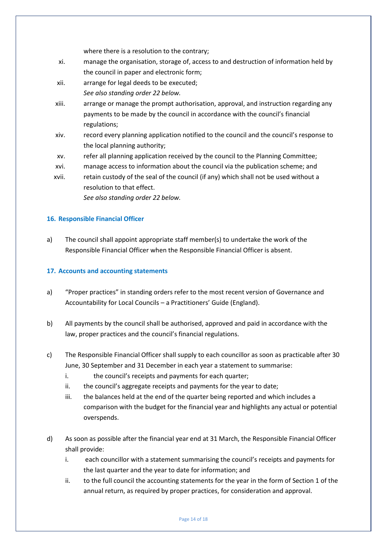where there is a resolution to the contrary;

- xi. manage the organisation, storage of, access to and destruction of information held by the council in paper and electronic form;
- xii. arrange for legal deeds to be executed; *See also standing order 22 below.*
- xiii. arrange or manage the prompt authorisation, approval, and instruction regarding any payments to be made by the council in accordance with the council's financial regulations;
- xiv. record every planning application notified to the council and the council's response to the local planning authority;
- xv. refer all planning application received by the council to the Planning Committee;
- xvi. manage access to information about the council via the publication scheme; and
- xvii. retain custody of the seal of the council (if any) which shall not be used without a resolution to that effect.

*See also standing order 22 below.*

# **16. Responsible Financial Officer**

a) The council shall appoint appropriate staff member(s) to undertake the work of the Responsible Financial Officer when the Responsible Financial Officer is absent.

# **17. Accounts and accounting statements**

- a) "Proper practices" in standing orders refer to the most recent version of Governance and Accountability for Local Councils – a Practitioners' Guide (England).
- b) All payments by the council shall be authorised, approved and paid in accordance with the law, proper practices and the council's financial regulations.
- c) The Responsible Financial Officer shall supply to each councillor as soon as practicable after 30 June, 30 September and 31 December in each year a statement to summarise:
	- i. the council's receipts and payments for each quarter;
	- ii. the council's aggregate receipts and payments for the year to date;
	- iii. the balances held at the end of the quarter being reported and which includes a comparison with the budget for the financial year and highlights any actual or potential overspends.
- d) As soon as possible after the financial year end at 31 March, the Responsible Financial Officer shall provide:
	- i. each councillor with a statement summarising the council's receipts and payments for the last quarter and the year to date for information; and
	- ii. to the full council the accounting statements for the year in the form of Section 1 of the annual return, as required by proper practices, for consideration and approval.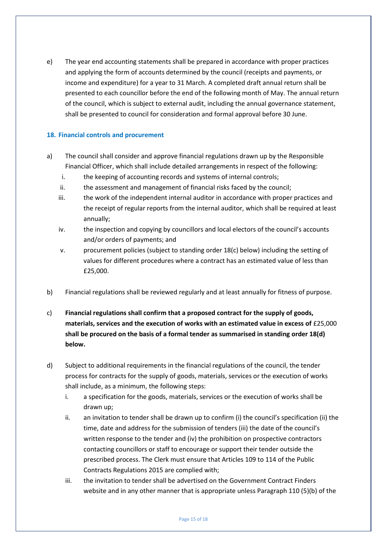e) The year end accounting statements shall be prepared in accordance with proper practices and applying the form of accounts determined by the council (receipts and payments, or income and expenditure) for a year to 31 March. A completed draft annual return shall be presented to each councillor before the end of the following month of May. The annual return of the council, which is subject to external audit, including the annual governance statement, shall be presented to council for consideration and formal approval before 30 June.

# **18. Financial controls and procurement**

- a) The council shall consider and approve financial regulations drawn up by the Responsible Financial Officer, which shall include detailed arrangements in respect of the following:
	- i. the keeping of accounting records and systems of internal controls;
	- ii. the assessment and management of financial risks faced by the council;
	- iii. the work of the independent internal auditor in accordance with proper practices and the receipt of regular reports from the internal auditor, which shall be required at least annually;
	- iv. the inspection and copying by councillors and local electors of the council's accounts and/or orders of payments; and
	- v. procurement policies (subject to standing order 18(c) below) including the setting of values for different procedures where a contract has an estimated value of less than £25,000.
- b) Financial regulations shall be reviewed regularly and at least annually for fitness of purpose.
- c) **Financial regulations shall confirm that a proposed contract for the supply of goods, materials, services and the execution of works with an estimated value in excess of** £25,000 **shall be procured on the basis of a formal tender as summarised in standing order 18(d) below.**
- d) Subject to additional requirements in the financial regulations of the council, the tender process for contracts for the supply of goods, materials, services or the execution of works shall include, as a minimum, the following steps:
	- i. a specification for the goods, materials, services or the execution of works shall be drawn up;
	- ii. an invitation to tender shall be drawn up to confirm (i) the council's specification (ii) the time, date and address for the submission of tenders (iii) the date of the council's written response to the tender and (iv) the prohibition on prospective contractors contacting councillors or staff to encourage or support their tender outside the prescribed process. The Clerk must ensure that Articles 109 to 114 of the Public Contracts Regulations 2015 are complied with;
	- iii. the invitation to tender shall be advertised on the Government Contract Finders website and in any other manner that is appropriate unless Paragraph 110 (5)(b) of the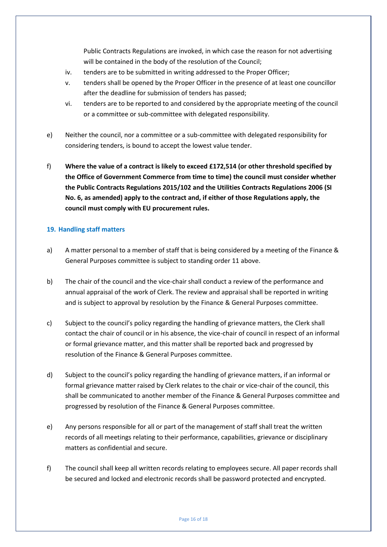Public Contracts Regulations are invoked, in which case the reason for not advertising will be contained in the body of the resolution of the Council;

- iv. tenders are to be submitted in writing addressed to the Proper Officer;
- v. tenders shall be opened by the Proper Officer in the presence of at least one councillor after the deadline for submission of tenders has passed;
- vi. tenders are to be reported to and considered by the appropriate meeting of the council or a committee or sub-committee with delegated responsibility.
- e) Neither the council, nor a committee or a sub-committee with delegated responsibility for considering tenders, is bound to accept the lowest value tender.
- f) **Where the value of a contract is likely to exceed £172,514 (or other threshold specified by the Office of Government Commerce from time to time) the council must consider whether the Public Contracts Regulations 2015/102 and the Utilities Contracts Regulations 2006 (SI No. 6, as amended) apply to the contract and, if either of those Regulations apply, the council must comply with EU procurement rules.**

# **19. Handling staff matters**

- a) A matter personal to a member of staff that is being considered by a meeting of the Finance & General Purposes committee is subject to standing order 11 above.
- b) The chair of the council and the vice-chair shall conduct a review of the performance and annual appraisal of the work of Clerk. The review and appraisal shall be reported in writing and is subject to approval by resolution by the Finance & General Purposes committee.
- c) Subject to the council's policy regarding the handling of grievance matters, the Clerk shall contact the chair of council or in his absence, the vice-chair of council in respect of an informal or formal grievance matter, and this matter shall be reported back and progressed by resolution of the Finance & General Purposes committee.
- d) Subject to the council's policy regarding the handling of grievance matters, if an informal or formal grievance matter raised by Clerk relates to the chair or vice-chair of the council, this shall be communicated to another member of the Finance & General Purposes committee and progressed by resolution of the Finance & General Purposes committee.
- e) Any persons responsible for all or part of the management of staff shall treat the written records of all meetings relating to their performance, capabilities, grievance or disciplinary matters as confidential and secure.
- f) The council shall keep all written records relating to employees secure. All paper records shall be secured and locked and electronic records shall be password protected and encrypted.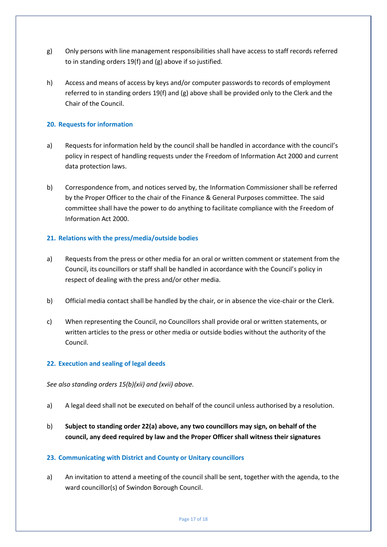- g) Only persons with line management responsibilities shall have access to staff records referred to in standing orders 19(f) and (g) above if so justified.
- h) Access and means of access by keys and/or computer passwords to records of employment referred to in standing orders 19(f) and (g) above shall be provided only to the Clerk and the Chair of the Council.

# **20. Requests for information**

- a) Requests for information held by the council shall be handled in accordance with the council's policy in respect of handling requests under the Freedom of Information Act 2000 and current data protection laws.
- b) Correspondence from, and notices served by, the Information Commissioner shall be referred by the Proper Officer to the chair of the Finance & General Purposes committee. The said committee shall have the power to do anything to facilitate compliance with the Freedom of Information Act 2000.

# **21. Relations with the press/media/outside bodies**

- a) Requests from the press or other media for an oral or written comment or statement from the Council, its councillors or staff shall be handled in accordance with the Council's policy in respect of dealing with the press and/or other media.
- b) Official media contact shall be handled by the chair, or in absence the vice-chair or the Clerk.
- c) When representing the Council, no Councillors shall provide oral or written statements, or written articles to the press or other media or outside bodies without the authority of the Council.

#### **22. Execution and sealing of legal deeds**

*See also standing orders 15(b)(xii) and (xvii) above.*

- a) A legal deed shall not be executed on behalf of the council unless authorised by a resolution.
- b) **Subject to standing order 22(a) above, any two councillors may sign, on behalf of the council, any deed required by law and the Proper Officer shall witness their signatures**

#### **23. Communicating with District and County or Unitary councillors**

a) An invitation to attend a meeting of the council shall be sent, together with the agenda, to the ward councillor(s) of Swindon Borough Council.